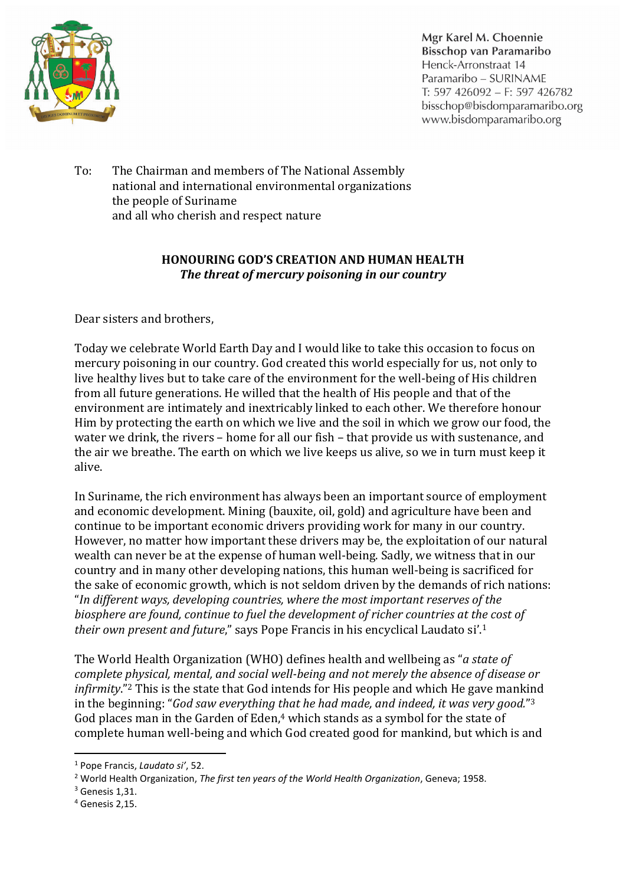

Mgr Karel M. Choennie Bisschop van Paramaribo Henck-Arronstraat 14 Paramaribo - SURINAME T: 597 426092 - F: 597 426782 bisschop@bisdomparamaribo.org www.bisdomparamaribo.org

To: The Chairman and members of The National Assembly national and international environmental organizations the people of Suriname and all who cherish and respect nature

## **HONOURING GOD'S CREATION AND HUMAN HEALTH** *The threat of mercury poisoning in our country*

Dear sisters and brothers,

Today we celebrate World Earth Day and I would like to take this occasion to focus on mercury poisoning in our country. God created this world especially for us, not only to live healthy lives but to take care of the environment for the well-being of His children from all future generations. He willed that the health of His people and that of the environment are intimately and inextricably linked to each other. We therefore honour Him by protecting the earth on which we live and the soil in which we grow our food, the water we drink, the rivers – home for all our fish – that provide us with sustenance, and the air we breathe. The earth on which we live keeps us alive, so we in turn must keep it alive.

In Suriname, the rich environment has always been an important source of employment and economic development. Mining (bauxite, oil, gold) and agriculture have been and continue to be important economic drivers providing work for many in our country. However, no matter how important these drivers may be, the exploitation of our natural wealth can never be at the expense of human well-being. Sadly, we witness that in our country and in many other developing nations, this human well-being is sacrificed for the sake of economic growth, which is not seldom driven by the demands of rich nations: "*In different ways, developing countries, where the most important reserves of the biosphere are found, continue to fuel the development of richer countries at the cost of their own present and future*," says Pope Francis in his encyclical Laudato si'.1

The World Health Organization (WHO) defines health and wellbeing as "*a state of complete physical, mental, and social well-being and not merely the absence of disease or infirmity*."2 This is the state that God intends for His people and which He gave mankind in the beginning: "*God saw everything that he had made, and indeed, it was very good.*"3 God places man in the Garden of Eden, <sup>4</sup> which stands as a symbol for the state of complete human well-being and which God created good for mankind, but which is and

 <sup>1</sup> Pope Francis, *Laudato si'*, 52.

<sup>2</sup> World Health Organization, *The first ten years of the World Health Organization*, Geneva; 1958.

 $3$  Genesis 1.31.

<sup>4</sup> Genesis 2,15.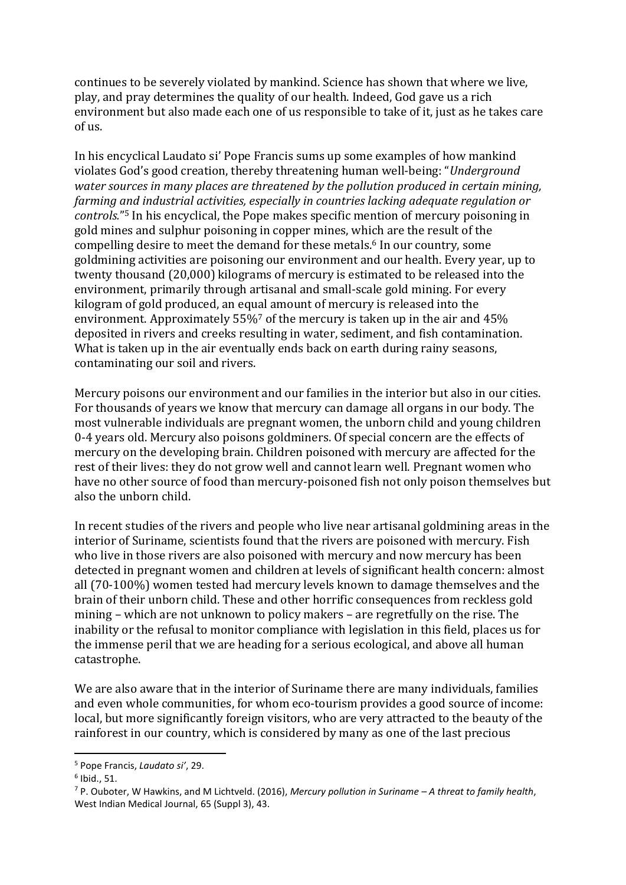continues to be severely violated by mankind. Science has shown that where we live, play, and pray determines the quality of our health. Indeed, God gave us a rich environment but also made each one of us responsible to take of it, just as he takes care of us.

In his encyclical Laudato si' Pope Francis sums up some examples of how mankind violates God's good creation, thereby threatening human well-being: "*Underground water sources in many places are threatened by the pollution produced in certain mining, farming and industrial activities, especially in countries lacking adequate regulation or controls.*"5 In his encyclical, the Pope makes specific mention of mercury poisoning in gold mines and sulphur poisoning in copper mines, which are the result of the compelling desire to meet the demand for these metals.6 In our country, some goldmining activities are poisoning our environment and our health. Every year, up to twenty thousand (20,000) kilograms of mercury is estimated to be released into the environment, primarily through artisanal and small-scale gold mining. For every kilogram of gold produced, an equal amount of mercury is released into the environment. Approximately 55%<sup>7</sup> of the mercury is taken up in the air and 45% deposited in rivers and creeks resulting in water, sediment, and fish contamination. What is taken up in the air eventually ends back on earth during rainy seasons, contaminating our soil and rivers.

Mercury poisons our environment and our families in the interior but also in our cities. For thousands of years we know that mercury can damage all organs in our body. The most vulnerable individuals are pregnant women, the unborn child and young children 0-4 years old. Mercury also poisons goldminers. Of special concern are the effects of mercury on the developing brain. Children poisoned with mercury are affected for the rest of their lives: they do not grow well and cannot learn well. Pregnant women who have no other source of food than mercury-poisoned fish not only poison themselves but also the unborn child.

In recent studies of the rivers and people who live near artisanal goldmining areas in the interior of Suriname, scientists found that the rivers are poisoned with mercury. Fish who live in those rivers are also poisoned with mercury and now mercury has been detected in pregnant women and children at levels of significant health concern: almost all (70-100%) women tested had mercury levels known to damage themselves and the brain of their unborn child. These and other horrific consequences from reckless gold mining – which are not unknown to policy makers – are regretfully on the rise. The inability or the refusal to monitor compliance with legislation in this field, places us for the immense peril that we are heading for a serious ecological, and above all human catastrophe.

We are also aware that in the interior of Suriname there are many individuals, families and even whole communities, for whom eco-tourism provides a good source of income: local, but more significantly foreign visitors, who are very attracted to the beauty of the rainforest in our country, which is considered by many as one of the last precious

 <sup>5</sup> Pope Francis, *Laudato si'*, 29.

 $6$  Ibid., 51.

<sup>7</sup> P. Ouboter, W Hawkins, and M Lichtveld. (2016), *Mercury pollution in Suriname – A threat to family health*, West Indian Medical Journal, 65 (Suppl 3), 43.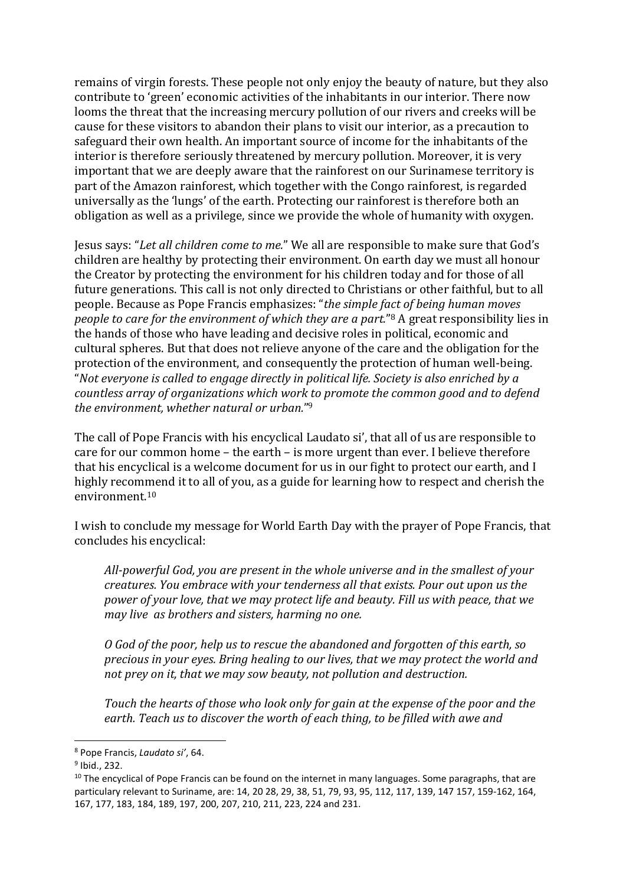remains of virgin forests. These people not only enjoy the beauty of nature, but they also contribute to 'green' economic activities of the inhabitants in our interior. There now looms the threat that the increasing mercury pollution of our rivers and creeks will be cause for these visitors to abandon their plans to visit our interior, as a precaution to safeguard their own health. An important source of income for the inhabitants of the interior is therefore seriously threatened by mercury pollution. Moreover, it is very important that we are deeply aware that the rainforest on our Surinamese territory is part of the Amazon rainforest, which together with the Congo rainforest, is regarded universally as the 'lungs' of the earth. Protecting our rainforest is therefore both an obligation as well as a privilege, since we provide the whole of humanity with oxygen.

Jesus says: "*Let all children come to me.*" We all are responsible to make sure that God's children are healthy by protecting their environment. On earth day we must all honour the Creator by protecting the environment for his children today and for those of all future generations. This call is not only directed to Christians or other faithful, but to all people. Because as Pope Francis emphasizes: "*the simple fact of being human moves people to care for the environment of which they are a part.*"8 A great responsibility lies in the hands of those who have leading and decisive roles in political, economic and cultural spheres. But that does not relieve anyone of the care and the obligation for the protection of the environment, and consequently the protection of human well-being. "*Not everyone is called to engage directly in political life. Society is also enriched by a countless array of organizations which work to promote the common good and to defend the environment, whether natural or urban.*"9

The call of Pope Francis with his encyclical Laudato si', that all of us are responsible to care for our common home – the earth – is more urgent than ever. I believe therefore that his encyclical is a welcome document for us in our fight to protect our earth, and I highly recommend it to all of you, as a guide for learning how to respect and cherish the environment.10

I wish to conclude my message for World Earth Day with the prayer of Pope Francis, that concludes his encyclical:

*All-powerful God, you are present in the whole universe and in the smallest of your creatures. You embrace with your tenderness all that exists. Pour out upon us the power of your love, that we may protect life and beauty. Fill us with peace, that we may live as brothers and sisters, harming no one.*

*O God of the poor, help us to rescue the abandoned and forgotten of this earth, so precious in your eyes. Bring healing to our lives, that we may protect the world and not prey on it, that we may sow beauty, not pollution and destruction.*

*Touch the hearts of those who look only for gain at the expense of the poor and the earth. Teach us to discover the worth of each thing, to be filled with awe and* 

 <sup>8</sup> Pope Francis, *Laudato si'*, 64.

<sup>9</sup> Ibid., 232.

 $10$  The encyclical of Pope Francis can be found on the internet in many languages. Some paragraphs, that are particulary relevant to Suriname, are: 14, 20 28, 29, 38, 51, 79, 93, 95, 112, 117, 139, 147 157, 159-162, 164, 167, 177, 183, 184, 189, 197, 200, 207, 210, 211, 223, 224 and 231.